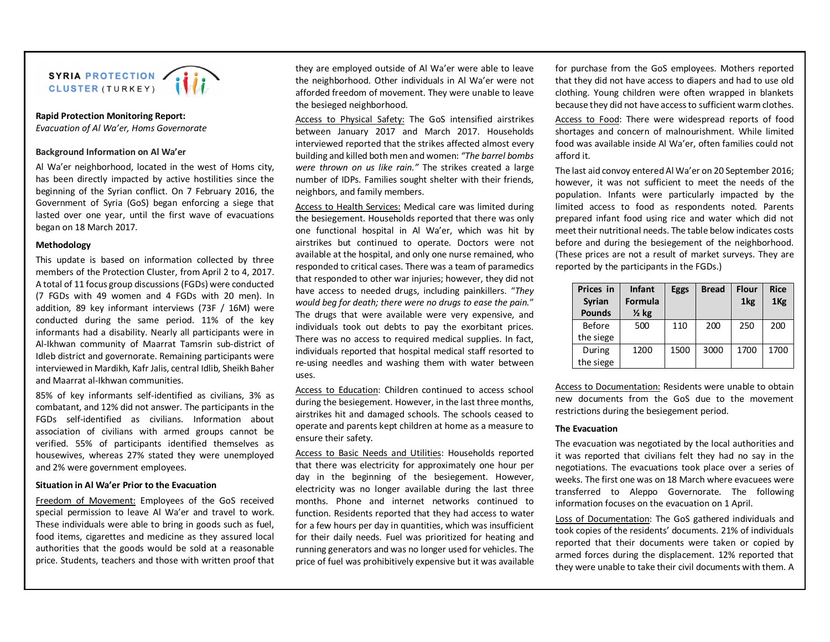

**Rapid Protection Monitoring Report:** *Evacuation of Al Wa'er, Homs Governorate*

## **Background Information on Al Wa'er**

Al Wa'er neighborhood, located in the west of Homs city, has been directly impacted by active hostilities since the beginning of the Syrian conflict. On 7 February 2016, the Government of Syria (GoS) began enforcing a siege that lasted over one year, until the first wave of evacuations began on 18 March 2017.

#### **Methodology**

This update is based on information collected by three members of the Protection Cluster, from April 2 to 4, 2017. A total of 11 focus group discussions (FGDs) were conducted (7 FGDs with 49 women and 4 FGDs with 20 men). In addition, 89 key informant interviews (73F / 16M) were conducted during the same period. 11% of the key informants had a disability. Nearly all participants were in Al-Ikhwan community of Maarrat Tamsrin sub-district of Idleb district and governorate. Remaining participants were interviewed in Mardikh, Kafr Jalis, central Idlib, Sheikh Baher and Maarrat al-Ikhwan communities.

85% of key informants self-identified as civilians, 3% as combatant, and 12% did not answer. The participants in the FGDs self-identified as civilians. Information about association of civilians with armed groups cannot be verified. 55% of participants identified themselves as housewives, whereas 27% stated they were unemployed and 2% were government employees.

## **Situation in Al Wa'er Prior to the Evacuation**

Freedom of Movement: Employees of the GoS received special permission to leave Al Wa'er and travel to work. These individuals were able to bring in goods such as fuel, food items, cigarettes and medicine as they assured local authorities that the goods would be sold at a reasonable price. Students, teachers and those with written proof that

they are employed outside of Al Wa'er were able to leave the neighborhood. Other individuals in Al Wa'er were not afforded freedom of movement. They were unable to leave the besieged neighborhood.

Access to Physical Safety: The GoS intensified airstrikes between January 2017 and March 2017. Households interviewed reported that the strikes affected almost every building and killed both men and women: *"The barrel bombs were thrown on us like rain."* The strikes created a large number of IDPs. Families sought shelter with their friends, neighbors, and family members.

Access to Health Services: Medical care was limited during the besiegement. Households reported that there was only one functional hospital in Al Wa'er, which was hit by airstrikes but continued to operate. Doctors were not available at the hospital, and only one nurse remained, who responded to critical cases. There was a team of paramedics that responded to other war injuries; however, they did not have access to needed drugs, including painkillers. "*They would beg for death; there were no drugs to ease the pain.*" The drugs that were available were very expensive, and individuals took out debts to pay the exorbitant prices. There was no access to required medical supplies. In fact, individuals reported that hospital medical staff resorted to re-using needles and washing them with water between uses.

Access to Education: Children continued to access school during the besiegement. However, in the last three months, airstrikes hit and damaged schools. The schools ceased to operate and parents kept children at home as a measure to ensure their safety.

Access to Basic Needs and Utilities: Households reported that there was electricity for approximately one hour per day in the beginning of the besiegement. However, electricity was no longer available during the last three months. Phone and internet networks continued to function. Residents reported that they had access to water for a few hours per day in quantities, which was insufficient for their daily needs. Fuel was prioritized for heating and running generators and was no longer used for vehicles. The price of fuel was prohibitively expensive but it was available for purchase from the GoS employees. Mothers reported that they did not have access to diapers and had to use old clothing. Young children were often wrapped in blankets because they did not have access to sufficient warm clothes.

Access to Food: There were widespread reports of food shortages and concern of malnourishment. While limited food was available inside Al Wa'er, often families could not afford it.

The last aid convoy entered Al Wa'er on 20 September 2016; however, it was not sufficient to meet the needs of the population. Infants were particularly impacted by the limited access to food as respondents noted. Parents prepared infant food using rice and water which did not meet their nutritional needs. The table below indicates costs before and during the besiegement of the neighborhood. (These prices are not a result of market surveys. They are reported by the participants in the FGDs.)

| Prices in     | <b>Infant</b>    | <b>Eggs</b> | <b>Bread</b> | <b>Flour</b>    | <b>Rice</b>     |
|---------------|------------------|-------------|--------------|-----------------|-----------------|
| <b>Syrian</b> | Formula          |             |              | 1 <sub>kg</sub> | 1 <sub>Kg</sub> |
| <b>Pounds</b> | $\frac{1}{2}$ kg |             |              |                 |                 |
| Before        | 500              | 110         | 200          | 250             | 200             |
| the siege     |                  |             |              |                 |                 |
| During        | 1200             | 1500        | 3000         | 1700            | 1700            |
| the siege     |                  |             |              |                 |                 |

Access to Documentation: Residents were unable to obtain new documents from the GoS due to the movement restrictions during the besiegement period.

### **The Evacuation**

The evacuation was negotiated by the local authorities and it was reported that civilians felt they had no say in the negotiations. The evacuations took place over a series of weeks. The first one was on 18 March where evacuees were transferred to Aleppo Governorate. The following information focuses on the evacuation on 1 April.

Loss of Documentation: The GoS gathered individuals and took copies of the residents' documents. 21% of individuals reported that their documents were taken or copied by armed forces during the displacement. 12% reported that they were unable to take their civil documents with them. A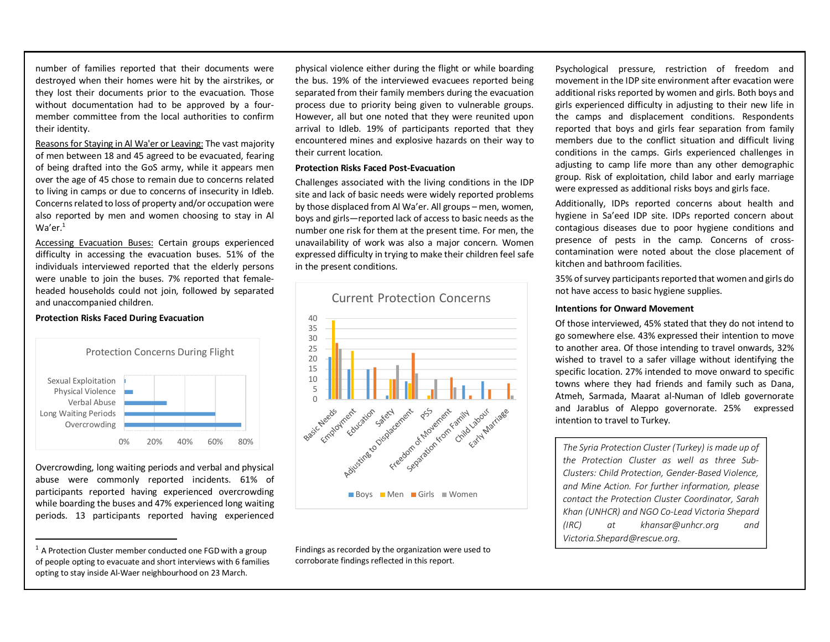number of families reported that their documents were destroyed when their homes were hit by the airstrikes, or they lost their documents prior to the evacuation. Those without documentation had to be approved by a fourmember committee from the local authorities to confirm their identity.

Reasons for Staying in Al Wa'er or Leaving: The vast majority of men between 18 and 45 agreed to be evacuated, fearing of being drafted into the GoS army, while it appears men over the age of 45 chose to remain due to concerns related to living in camps or due to concerns of insecurity in Idleb. Concerns related to loss of property and/or occupation were also reported by men and women choosing to stay in Al  $Wa'er.<sup>1</sup>$ 

Accessing Evacuation Buses: Certain groups experienced difficulty in accessing the evacuation buses. 51% of the individuals interviewed reported that the elderly persons were unable to join the buses. 7% reported that femaleheaded households could not join, followed by separated and unaccompanied children.



**Protection Risks Faced During Evacuation**

Overcrowding, long waiting periods and verbal and physical abuse were commonly reported incidents. 61% of participants reported having experienced overcrowding while boarding the buses and 47% experienced long waiting periods. 13 participants reported having experienced

 $\overline{a}$ 

physical violence either during the flight or while boarding the bus. 19% of the interviewed evacuees reported being separated from their family members during the evacuation process due to priority being given to vulnerable groups. However, all but one noted that they were reunited upon arrival to Idleb. 19% of participants reported that they encountered mines and explosive hazards on their way to their current location.

## **Protection Risks Faced Post-Evacuation**

Challenges associated with the living conditions in the IDP site and lack of basic needs were widely reported problems by those displaced from Al Wa'er. All groups – men, women, boys and girls—reported lack of access to basic needs as the number one risk for them at the present time. For men, the unavailability of work was also a major concern. Women expressed difficulty in trying to make their children feel safe in the present conditions.



Findings as recorded by the organization were used to corroborate findings reflected in this report.

Psychological pressure, restriction of freedom and movement in the IDP site environment after evacation were additional risks reported by women and girls. Both boys and girls experienced difficulty in adjusting to their new life in the camps and displacement conditions. Respondents reported that boys and girls fear separation from family members due to the conflict situation and difficult living conditions in the camps. Girls experienced challenges in adjusting to camp life more than any other demographic group. Risk of exploitation, child labor and early marriage were expressed as additional risks boys and girls face.

Additionally, IDPs reported concerns about health and hygiene in Sa'eed IDP site. IDPs reported concern about contagious diseases due to poor hygiene conditions and presence of pests in the camp. Concerns of crosscontamination were noted about the close placement of kitchen and bathroom facilities.

35% of survey participants reported that women and girls do not have access to basic hygiene supplies.

## **Intentions for Onward Movement**

Of those interviewed, 45% stated that they do not intend to go somewhere else. 43% expressed their intention to move to another area. Of those intending to travel onwards, 32% wished to travel to a safer village without identifying the specific location. 27% intended to move onward to specific towns where they had friends and family such as Dana, Atmeh, Sarmada, Maarat al-Numan of Idleb governorate and Jarablus of Aleppo governorate. 25% expressed intention to travel to Turkey.

*The Syria Protection Cluster (Turkey) is made up of the Protection Cluster as well as three Sub-Clusters: Child Protection, Gender-Based Violence, and Mine Action. For further information, please contact the Protection Cluster Coordinator, Sarah Khan (UNHCR) and NGO Co-Lead Victoria Shepard (IRC) at khansar@unhcr.org and Victoria.Shepard@rescue.org.* 

 $1$  A Protection Cluster member conducted one FGD with a group of people opting to evacuate and short interviews with 6 families opting to stay inside Al-Waer neighbourhood on 23 March.